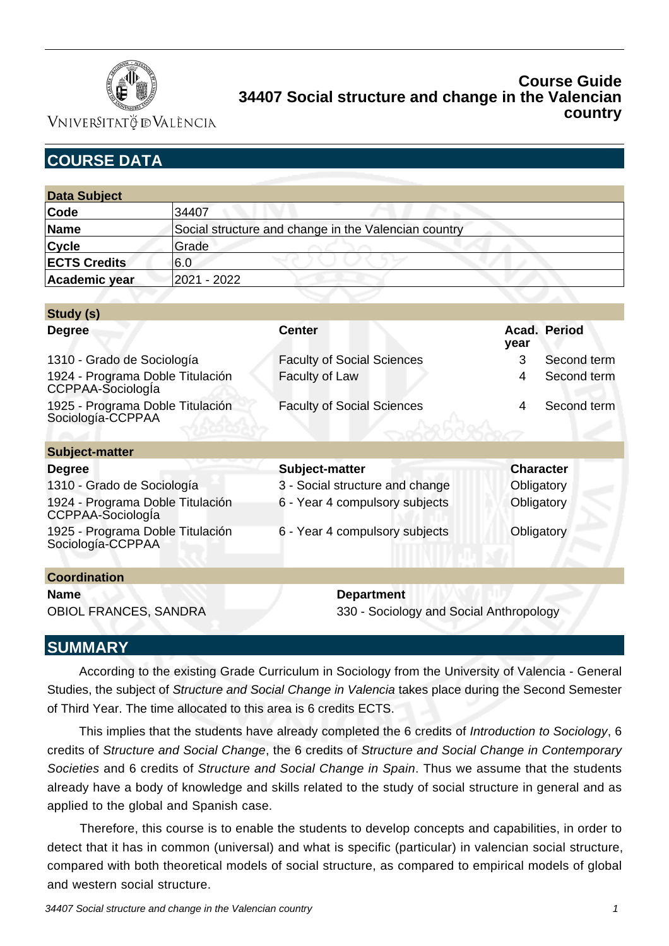

VNIVERSITATÖ ID VALÈNCIA

# **COURSE DATA**

| <b>Data Subject</b> |                                                      |  |  |  |
|---------------------|------------------------------------------------------|--|--|--|
| Code                | 34407                                                |  |  |  |
| Name                | Social structure and change in the Valencian country |  |  |  |
| Cyc e               | Grade                                                |  |  |  |
| <b>ECTS Credits</b> | 6.0                                                  |  |  |  |
| Academic year       | 2021 - 2022                                          |  |  |  |

| Study (s)                                             |                                   |            |                     |  |
|-------------------------------------------------------|-----------------------------------|------------|---------------------|--|
| <b>Degree</b>                                         | <b>Center</b>                     | year       | <b>Acad. Period</b> |  |
| 1310 - Grado de Sociología                            | <b>Faculty of Social Sciences</b> | 3          | Second term         |  |
| 1924 - Programa Doble Titulación<br>CCPPAA-SociologÍa | Faculty of Law                    | 4          | Second term         |  |
| 1925 - Programa Doble Titulación<br>Sociología-CCPPAA | <b>Faculty of Social Sciences</b> | 4          | Second term         |  |
| Subject-matter                                        |                                   |            |                     |  |
| <b>Degree</b>                                         | Subject-matter                    |            | <b>Character</b>    |  |
| 1310 - Grado de Sociología                            | 3 - Social structure and change   | Obligatory |                     |  |
| 1924 - Programa Doble Titulación<br>CCPPAA-Sociologla | 6 - Year 4 compulsory subjects    | Obligatory |                     |  |
| 1925 - Programa Doble Titulación<br>Sociología-CCPPAA | 6 - Year 4 compulsory subjects    | Obligatory |                     |  |
| <b>Coordination</b>                                   |                                   |            |                     |  |
| <b>Name</b>                                           | <b>Department</b>                 |            |                     |  |

# **SUMMARY**

 According to the existing Grade Curriculum in Sociology from the University of Valencia - General Studies, the subject of Structure and Social Change in Valencia takes place during the Second Semester of Third Year. The time allocated to this area is 6 credits ECTS.

OBIOL FRANCES, SANDRA 330 - Sociology and Social Anthropology

 This implies that the students have already completed the 6 credits of Introduction to Sociology, 6 credits of Structure and Social Change, the 6 credits of Structure and Social Change in Contemporary Societies and 6 credits of Structure and Social Change in Spain. Thus we assume that the students already have a body of knowledge and skills related to the study of social structure in general and as applied to the global and Spanish case.

 Therefore, this course is to enable the students to develop concepts and capabilities, in order to detect that it has in common (universal) and what is specific (particular) in valencian social structure, compared with both theoretical models of social structure, as compared to empirical models of global and western social structure.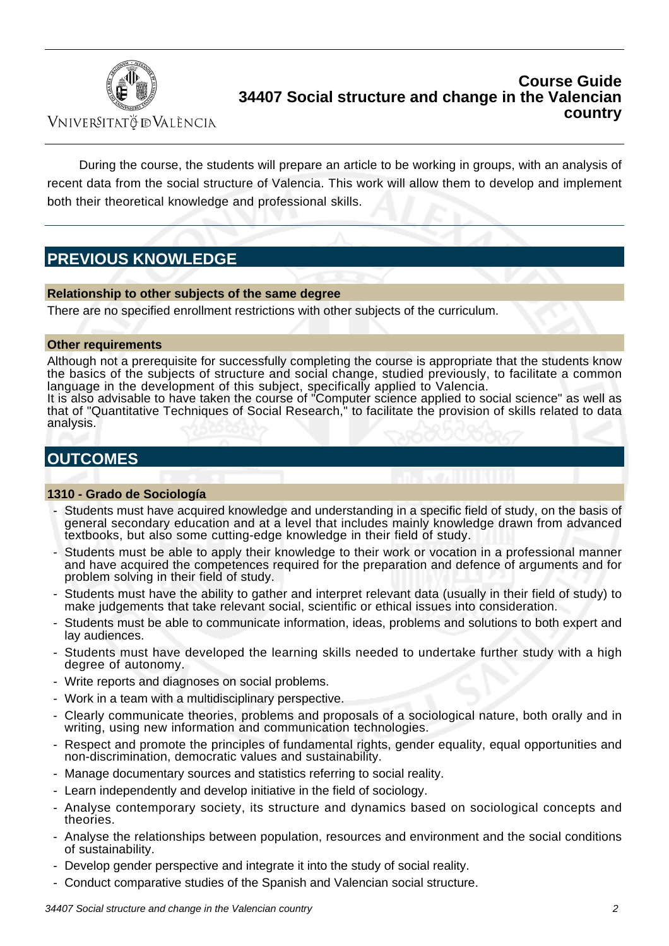

VNIVERSITATÖ IDVALÈNCIA

 During the course, the students will prepare an article to be working in groups, with an analysis of recent data from the social structure of Valencia. This work will allow them to develop and implement both their theoretical knowledge and professional skills.

# **PREVIOUS KNOWLEDGE**

#### **Relationship to other subjects of the same degree**

There are no specified enrollment restrictions with other subjects of the curriculum.

#### **Other requirements**

Although not a prerequisite for successfully completing the course is appropriate that the students know the basics of the subjects of structure and social change, studied previously, to facilitate a common language in the development of this subject, specifically applied to Valencia.

It is also advisable to have taken the course of "Computer science applied to social science" as well as that of "Quantitative Techniques of Social Research," to facilitate the provision of skills related to data analysis.

## **OUTCOMES**

#### **1310 - Grado de Sociología**

- Students must have acquired knowledge and understanding in a specific field of study, on the basis of general secondary education and at a level that includes mainly knowledge drawn from advanced textbooks, but also some cutting-edge knowledge in their field of study.
- Students must be able to apply their knowledge to their work or vocation in a professional manner and have acquired the competences required for the preparation and defence of arguments and for problem solving in their field of study.
- Students must have the ability to gather and interpret relevant data (usually in their field of study) to make judgements that take relevant social, scientific or ethical issues into consideration.
- Students must be able to communicate information, ideas, problems and solutions to both expert and lay audiences.
- Students must have developed the learning skills needed to undertake further study with a high degree of autonomy.
- Write reports and diagnoses on social problems.
- Work in a team with a multidisciplinary perspective.
- Clearly communicate theories, problems and proposals of a sociological nature, both orally and in writing, using new information and communication technologies.
- Respect and promote the principles of fundamental rights, gender equality, equal opportunities and non-discrimination, democratic values and sustainability.
- Manage documentary sources and statistics referring to social reality.
- Learn independently and develop initiative in the field of sociology.
- Analyse contemporary society, its structure and dynamics based on sociological concepts and theories.
- Analyse the relationships between population, resources and environment and the social conditions of sustainability.
- Develop gender perspective and integrate it into the study of social reality.
- Conduct comparative studies of the Spanish and Valencian social structure.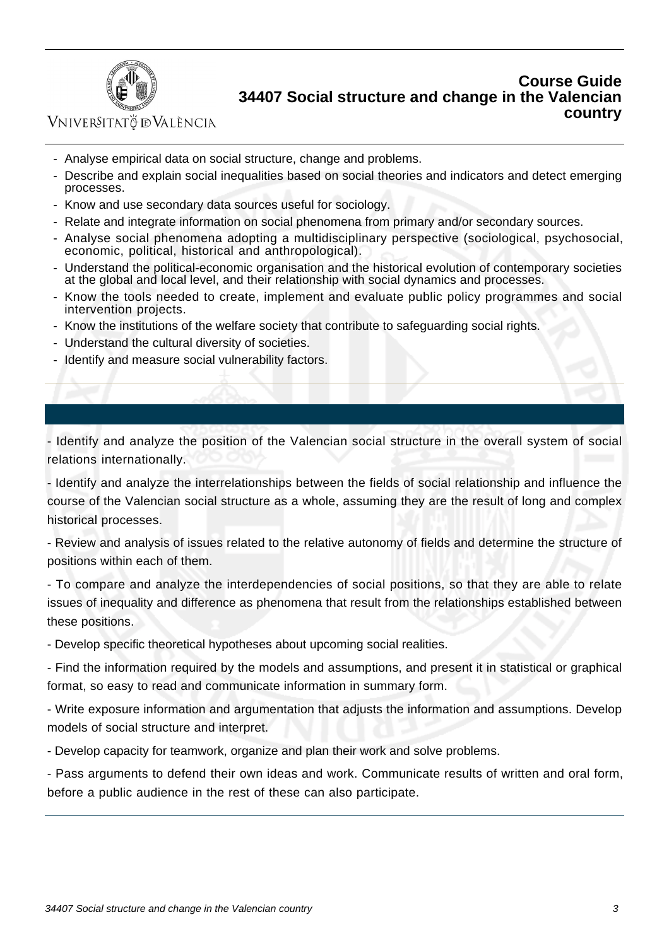

## VNIVERSITATÖ ID VALÈNCIA

- Analyse empirical data on social structure, change and problems.
- Describe and explain social inequalities based on social theories and indicators and detect emerging processes.
- Know and use secondary data sources useful for sociology.
- Relate and integrate information on social phenomena from primary and/or secondary sources.
- Analyse social phenomena adopting a multidisciplinary perspective (sociological, psychosocial, economic, political, historical and anthropological).
- Understand the political-economic organisation and the historical evolution of contemporary societies at the global and local level, and their relationship with social dynamics and processes.
- Know the tools needed to create, implement and evaluate public policy programmes and social intervention projects.
- Know the institutions of the welfare society that contribute to safeguarding social rights.
- Understand the cultural diversity of societies.
- Identify and measure social vulnerability factors.

- Identify and analyze the position of the Valencian social structure in the overall system of social relations internationally.

- Identify and analyze the interrelationships between the fields of social relationship and influence the course of the Valencian social structure as a whole, assuming they are the result of long and complex historical processes.

- Review and analysis of issues related to the relative autonomy of fields and determine the structure of positions within each of them.

- To compare and analyze the interdependencies of social positions, so that they are able to relate issues of inequality and difference as phenomena that result from the relationships established between these positions.

- Develop specific theoretical hypotheses about upcoming social realities.

- Find the information required by the models and assumptions, and present it in statistical or graphical format, so easy to read and communicate information in summary form.

- Write exposure information and argumentation that adjusts the information and assumptions. Develop models of social structure and interpret.

- Develop capacity for teamwork, organize and plan their work and solve problems.

- Pass arguments to defend their own ideas and work. Communicate results of written and oral form, before a public audience in the rest of these can also participate.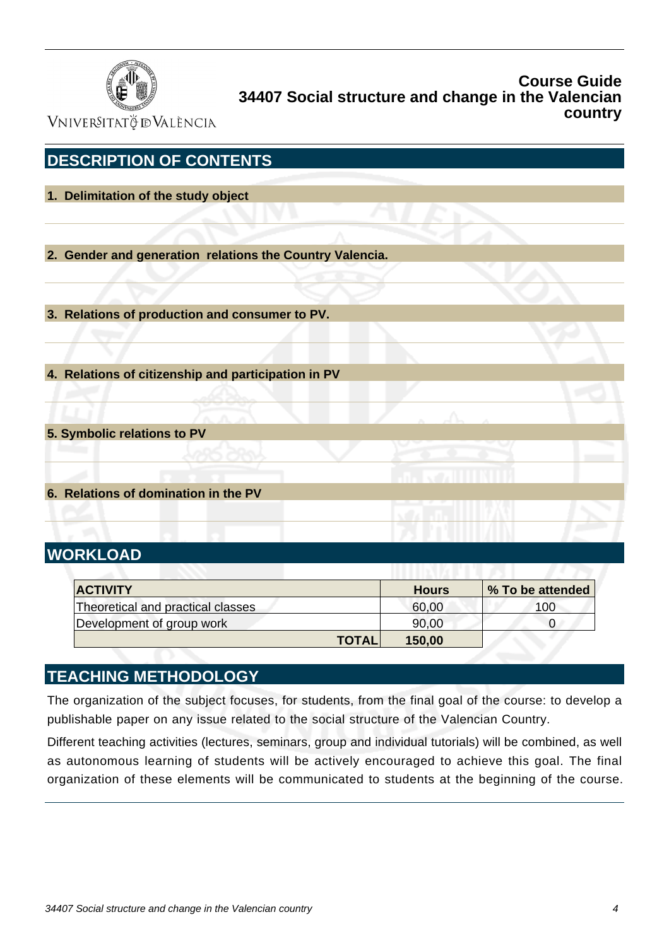

VNIVERSITATÖ ID VALÈNCIA

| <b>DESCRIPTION OF CONTENTS</b>                           |  |
|----------------------------------------------------------|--|
| 1. Delimitation of the study object                      |  |
|                                                          |  |
|                                                          |  |
| 2. Gender and generation relations the Country Valencia. |  |
|                                                          |  |
|                                                          |  |
| 3. Relations of production and consumer to PV.           |  |
|                                                          |  |
|                                                          |  |
| 4. Relations of citizenship and participation in PV      |  |
|                                                          |  |
|                                                          |  |
| 5. Symbolic relations to PV                              |  |
|                                                          |  |
|                                                          |  |
| 6. Relations of domination in the PV                     |  |
|                                                          |  |
|                                                          |  |
| <b>WORKLOAD</b>                                          |  |

| <b>ACTIVITY</b>                   | <b>Hours</b> | <b>% To be attended</b> |     |
|-----------------------------------|--------------|-------------------------|-----|
| Theoretical and practical classes |              | 60,00                   | 100 |
| Development of group work         |              | 90,00                   |     |
|                                   | <b>TOTAL</b> | 150,00                  |     |

## **TEACHING METHODOLOGY**

The organization of the subject focuses, for students, from the final goal of the course: to develop a publishable paper on any issue related to the social structure of the Valencian Country.

Different teaching activities (lectures, seminars, group and individual tutorials) will be combined, as well as autonomous learning of students will be actively encouraged to achieve this goal. The final organization of these elements will be communicated to students at the beginning of the course.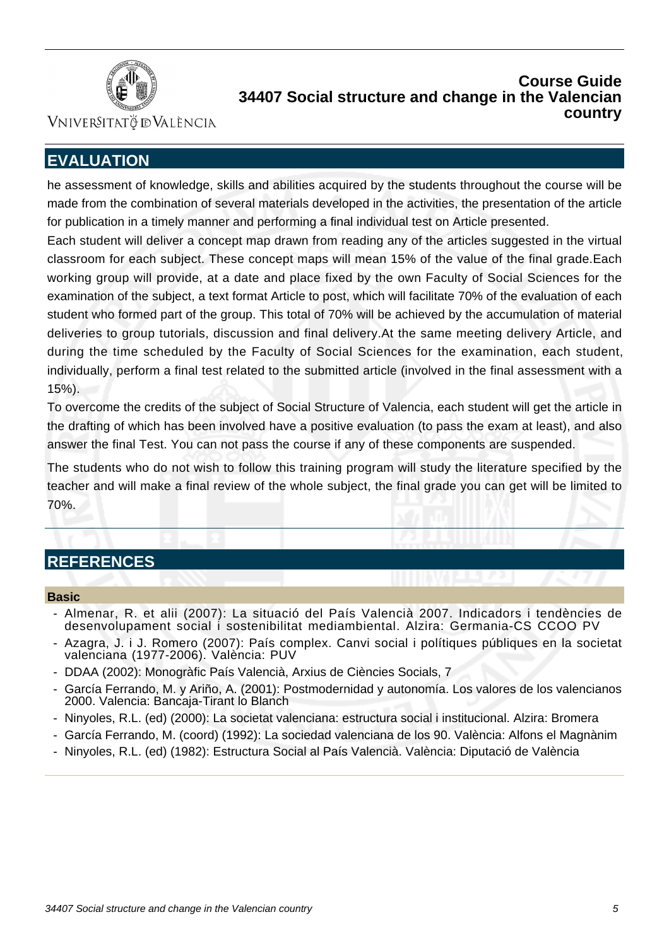

Vniver§itatğ dValència

# **EVALUATION**

he assessment of knowledge, skills and abilities acquired by the students throughout the course will be made from the combination of several materials developed in the activities, the presentation of the article for publication in a timely manner and performing a final individual test on Article presented.

Each student will deliver a concept map drawn from reading any of the articles suggested in the virtual classroom for each subject. These concept maps will mean 15% of the value of the final grade.Each working group will provide, at a date and place fixed by the own Faculty of Social Sciences for the examination of the subject, a text format Article to post, which will facilitate 70% of the evaluation of each student who formed part of the group. This total of 70% will be achieved by the accumulation of material deliveries to group tutorials, discussion and final delivery.At the same meeting delivery Article, and during the time scheduled by the Faculty of Social Sciences for the examination, each student, individually, perform a final test related to the submitted article (involved in the final assessment with a 15%).

To overcome the credits of the subject of Social Structure of Valencia, each student will get the article in the drafting of which has been involved have a positive evaluation (to pass the exam at least), and also answer the final Test. You can not pass the course if any of these components are suspended.

The students who do not wish to follow this training program will study the literature specified by the teacher and will make a final review of the whole subject, the final grade you can get will be limited to 70%.

## **REFERENCES**

#### **Basic**

- Almenar, R. et alii (2007): La situació del País Valencià 2007. Indicadors i tendències de desenvolupament social i sostenibilitat mediambiental. Alzira: Germania-CS CCOO PV
- Azagra, J. i J. Romero (2007): País complex. Canvi social i polítiques públiques en la societat valenciana (1977-2006). València: PUV
- DDAA (2002): Monogràfic País Valencià, Arxius de Ciències Socials, 7
- García Ferrando, M. y Ariño, A. (2001): Postmodernidad y autonomía. Los valores de los valencianos 2000. Valencia: Bancaja-Tirant lo Blanch
- Ninyoles, R.L. (ed) (2000): La societat valenciana: estructura social i institucional. Alzira: Bromera
- García Ferrando, M. (coord) (1992): La sociedad valenciana de los 90. València: Alfons el Magnànim
- Ninyoles, R.L. (ed) (1982): Estructura Social al País Valencià. València: Diputació de València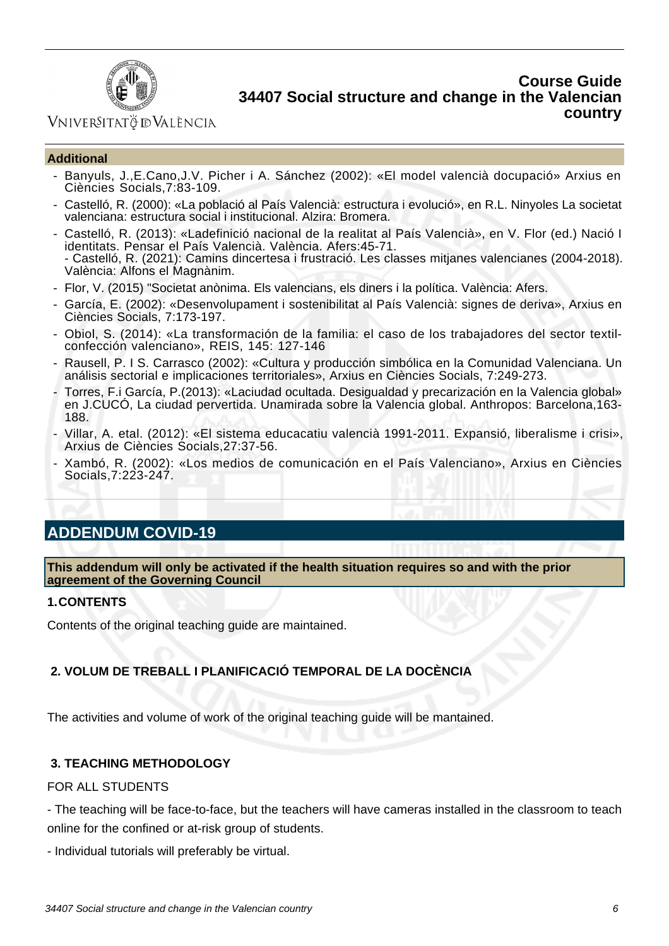

## VNIVERSITATÖ IDVALÈNCIA

#### **Additional**

- Banyuls, J.,E.Cano,J.V. Picher i A. Sánchez (2002): «El model valencià docupació» Arxius en Ciències Socials,7:83-109.
- Castelló, R. (2000): «La població al País Valencià: estructura i evolució», en R.L. Ninyoles La societat valenciana: estructura social i institucional. Alzira: Bromera.
- Castelló, R. (2013): «Ladefinició nacional de la realitat al País Valencià», en V. Flor (ed.) Nació I identitats. Pensar el País Valencià. València. Afers:45-71. - Castelló, R. (2021): Camins dincertesa i frustració. Les classes mitjanes valencianes (2004-2018). València: Alfons el Magnànim.
- Flor, V. (2015) "Societat anònima. Els valencians, els diners i la política. València: Afers.
- García, E. (2002): «Desenvolupament i sostenibilitat al País Valencià: signes de deriva», Arxius en Ciències Socials, 7:173-197.
- Obiol, S. (2014): «La transformación de la familia: el caso de los trabajadores del sector textilconfección valenciano», REIS, 145: 127-146
- Rausell, P. I S. Carrasco (2002): «Cultura y producción simbólica en la Comunidad Valenciana. Un análisis sectorial e implicaciones territoriales», Arxius en Ciències Socials, 7:249-273.
- Torres, F.i García, P.(2013): «Laciudad ocultada. Desigualdad y precarización en la Valencia global» en J.CUCÓ, La ciudad pervertida. Unamirada sobre la Valencia global. Anthropos: Barcelona,163-188.
- Villar, A. etal. (2012): «El sistema educacatiu valencià 1991-2011. Expansió, liberalisme i crisi», Arxius de Ciències Socials,27:37-56.
- Xambó, R. (2002): «Los medios de comunicación en el País Valenciano», Arxius en Ciències Socials,7:223-247.

# **ADDENDUM COVID-19**

**This addendum will only be activated if the health situation requires so and with the prior agreement of the Governing Council**

#### **1.CONTENTS**

Contents of the original teaching guide are maintained.

## **2. VOLUM DE TREBALL I PLANIFICACIÓ TEMPORAL DE LA DOCÈNCIA**

The activities and volume of work of the original teaching guide will be mantained.

#### **3. TEACHING METHODOLOGY**

#### FOR ALL STUDENTS

- The teaching will be face-to-face, but the teachers will have cameras installed in the classroom to teach online for the confined or at-risk group of students.

- Individual tutorials will preferably be virtual.